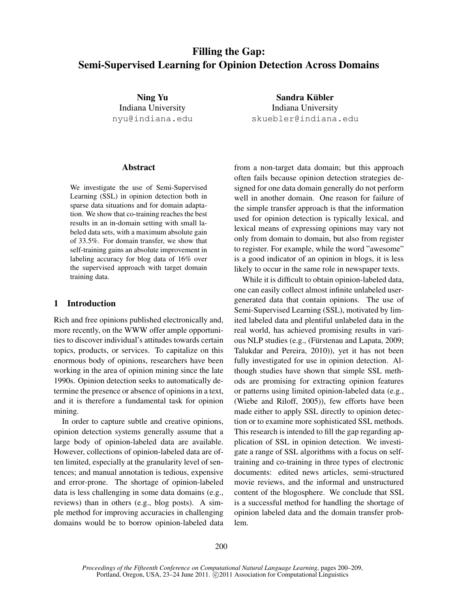# Filling the Gap: Semi-Supervised Learning for Opinion Detection Across Domains

Ning Yu Indiana University nyu@indiana.edu

Sandra Kübler Indiana University skuebler@indiana.edu

#### Abstract

We investigate the use of Semi-Supervised Learning (SSL) in opinion detection both in sparse data situations and for domain adaptation. We show that co-training reaches the best results in an in-domain setting with small labeled data sets, with a maximum absolute gain of 33.5%. For domain transfer, we show that self-training gains an absolute improvement in labeling accuracy for blog data of 16% over the supervised approach with target domain training data.

### 1 Introduction

Rich and free opinions published electronically and, more recently, on the WWW offer ample opportunities to discover individual's attitudes towards certain topics, products, or services. To capitalize on this enormous body of opinions, researchers have been working in the area of opinion mining since the late 1990s. Opinion detection seeks to automatically determine the presence or absence of opinions in a text, and it is therefore a fundamental task for opinion mining.

In order to capture subtle and creative opinions, opinion detection systems generally assume that a large body of opinion-labeled data are available. However, collections of opinion-labeled data are often limited, especially at the granularity level of sentences; and manual annotation is tedious, expensive and error-prone. The shortage of opinion-labeled data is less challenging in some data domains (e.g., reviews) than in others (e.g., blog posts). A simple method for improving accuracies in challenging domains would be to borrow opinion-labeled data from a non-target data domain; but this approach often fails because opinion detection strategies designed for one data domain generally do not perform well in another domain. One reason for failure of the simple transfer approach is that the information used for opinion detection is typically lexical, and lexical means of expressing opinions may vary not only from domain to domain, but also from register to register. For example, while the word "awesome" is a good indicator of an opinion in blogs, it is less likely to occur in the same role in newspaper texts.

While it is difficult to obtain opinion-labeled data, one can easily collect almost infinite unlabeled usergenerated data that contain opinions. The use of Semi-Supervised Learning (SSL), motivated by limited labeled data and plentiful unlabeled data in the real world, has achieved promising results in various NLP studies (e.g., (Fürstenau and Lapata, 2009; Talukdar and Pereira, 2010)), yet it has not been fully investigated for use in opinion detection. Although studies have shown that simple SSL methods are promising for extracting opinion features or patterns using limited opinion-labeled data (e.g., (Wiebe and Riloff, 2005)), few efforts have been made either to apply SSL directly to opinion detection or to examine more sophisticated SSL methods. This research is intended to fill the gap regarding application of SSL in opinion detection. We investigate a range of SSL algorithms with a focus on selftraining and co-training in three types of electronic documents: edited news articles, semi-structured movie reviews, and the informal and unstructured content of the blogosphere. We conclude that SSL is a successful method for handling the shortage of opinion labeled data and the domain transfer problem.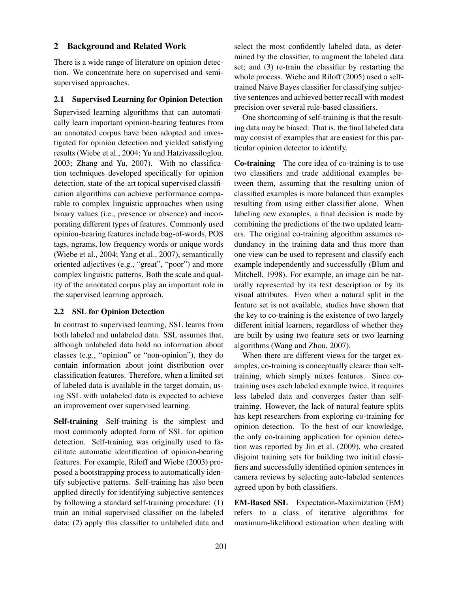# 2 Background and Related Work

There is a wide range of literature on opinion detection. We concentrate here on supervised and semisupervised approaches.

### 2.1 Supervised Learning for Opinion Detection

Supervised learning algorithms that can automatically learn important opinion-bearing features from an annotated corpus have been adopted and investigated for opinion detection and yielded satisfying results (Wiebe et al., 2004; Yu and Hatzivassiloglou, 2003; Zhang and Yu, 2007). With no classification techniques developed specifically for opinion detection, state-of-the-art topical supervised classification algorithms can achieve performance comparable to complex linguistic approaches when using binary values (i.e., presence or absence) and incorporating different types of features. Commonly used opinion-bearing features include bag-of-words, POS tags, ngrams, low frequency words or unique words (Wiebe et al., 2004; Yang et al., 2007), semantically oriented adjectives (e.g., "great", "poor") and more complex linguistic patterns. Both the scale and quality of the annotated corpus play an important role in the supervised learning approach.

### 2.2 SSL for Opinion Detection

In contrast to supervised learning, SSL learns from both labeled and unlabeled data. SSL assumes that, although unlabeled data hold no information about classes (e.g., "opinion" or "non-opinion"), they do contain information about joint distribution over classification features. Therefore, when a limited set of labeled data is available in the target domain, using SSL with unlabeled data is expected to achieve an improvement over supervised learning.

Self-training Self-training is the simplest and most commonly adopted form of SSL for opinion detection. Self-training was originally used to facilitate automatic identification of opinion-bearing features. For example, Riloff and Wiebe (2003) proposed a bootstrapping process to automatically identify subjective patterns. Self-training has also been applied directly for identifying subjective sentences by following a standard self-training procedure: (1) train an initial supervised classifier on the labeled data; (2) apply this classifier to unlabeled data and select the most confidently labeled data, as determined by the classifier, to augment the labeled data set; and (3) re-train the classifier by restarting the whole process. Wiebe and Riloff (2005) used a selftrained Naïve Bayes classifier for classifying subjective sentences and achieved better recall with modest precision over several rule-based classifiers.

One shortcoming of self-training is that the resulting data may be biased: That is, the final labeled data may consist of examples that are easiest for this particular opinion detector to identify.

Co-training The core idea of co-training is to use two classifiers and trade additional examples between them, assuming that the resulting union of classified examples is more balanced than examples resulting from using either classifier alone. When labeling new examples, a final decision is made by combining the predictions of the two updated learners. The original co-training algorithm assumes redundancy in the training data and thus more than one view can be used to represent and classify each example independently and successfully (Blum and Mitchell, 1998). For example, an image can be naturally represented by its text description or by its visual attributes. Even when a natural split in the feature set is not available, studies have shown that the key to co-training is the existence of two largely different initial learners, regardless of whether they are built by using two feature sets or two learning algorithms (Wang and Zhou, 2007).

When there are different views for the target examples, co-training is conceptually clearer than selftraining, which simply mixes features. Since cotraining uses each labeled example twice, it requires less labeled data and converges faster than selftraining. However, the lack of natural feature splits has kept researchers from exploring co-training for opinion detection. To the best of our knowledge, the only co-training application for opinion detection was reported by Jin et al. (2009), who created disjoint training sets for building two initial classifiers and successfully identified opinion sentences in camera reviews by selecting auto-labeled sentences agreed upon by both classifiers.

EM-Based SSL Expectation-Maximization (EM) refers to a class of iterative algorithms for maximum-likelihood estimation when dealing with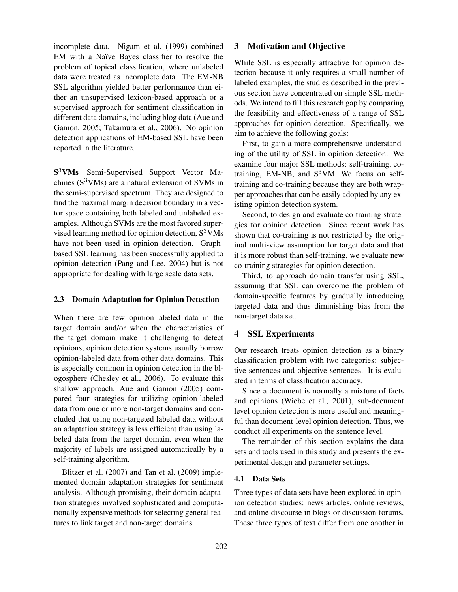incomplete data. Nigam et al. (1999) combined EM with a Naïve Bayes classifier to resolve the problem of topical classification, where unlabeled data were treated as incomplete data. The EM-NB SSL algorithm yielded better performance than either an unsupervised lexicon-based approach or a supervised approach for sentiment classification in different data domains, including blog data (Aue and Gamon, 2005; Takamura et al., 2006). No opinion detection applications of EM-based SSL have been reported in the literature.

S<sup>3</sup>VMs Semi-Supervised Support Vector Machines  $(S<sup>3</sup>VMs)$  are a natural extension of SVMs in the semi-supervised spectrum. They are designed to find the maximal margin decision boundary in a vector space containing both labeled and unlabeled examples. Although SVMs are the most favored supervised learning method for opinion detection,  $S<sup>3</sup>VMs$ have not been used in opinion detection. Graphbased SSL learning has been successfully applied to opinion detection (Pang and Lee, 2004) but is not appropriate for dealing with large scale data sets.

### 2.3 Domain Adaptation for Opinion Detection

When there are few opinion-labeled data in the target domain and/or when the characteristics of the target domain make it challenging to detect opinions, opinion detection systems usually borrow opinion-labeled data from other data domains. This is especially common in opinion detection in the blogosphere (Chesley et al., 2006). To evaluate this shallow approach, Aue and Gamon (2005) compared four strategies for utilizing opinion-labeled data from one or more non-target domains and concluded that using non-targeted labeled data without an adaptation strategy is less efficient than using labeled data from the target domain, even when the majority of labels are assigned automatically by a self-training algorithm.

Blitzer et al. (2007) and Tan et al. (2009) implemented domain adaptation strategies for sentiment analysis. Although promising, their domain adaptation strategies involved sophisticated and computationally expensive methods for selecting general features to link target and non-target domains.

# 3 Motivation and Objective

While SSL is especially attractive for opinion detection because it only requires a small number of labeled examples, the studies described in the previous section have concentrated on simple SSL methods. We intend to fill this research gap by comparing the feasibility and effectiveness of a range of SSL approaches for opinion detection. Specifically, we aim to achieve the following goals:

First, to gain a more comprehensive understanding of the utility of SSL in opinion detection. We examine four major SSL methods: self-training, cotraining, EM-NB, and  $S^3$ VM. We focus on selftraining and co-training because they are both wrapper approaches that can be easily adopted by any existing opinion detection system.

Second, to design and evaluate co-training strategies for opinion detection. Since recent work has shown that co-training is not restricted by the original multi-view assumption for target data and that it is more robust than self-training, we evaluate new co-training strategies for opinion detection.

Third, to approach domain transfer using SSL, assuming that SSL can overcome the problem of domain-specific features by gradually introducing targeted data and thus diminishing bias from the non-target data set.

# 4 SSL Experiments

Our research treats opinion detection as a binary classification problem with two categories: subjective sentences and objective sentences. It is evaluated in terms of classification accuracy.

Since a document is normally a mixture of facts and opinions (Wiebe et al., 2001), sub-document level opinion detection is more useful and meaningful than document-level opinion detection. Thus, we conduct all experiments on the sentence level.

The remainder of this section explains the data sets and tools used in this study and presents the experimental design and parameter settings.

#### 4.1 Data Sets

Three types of data sets have been explored in opinion detection studies: news articles, online reviews, and online discourse in blogs or discussion forums. These three types of text differ from one another in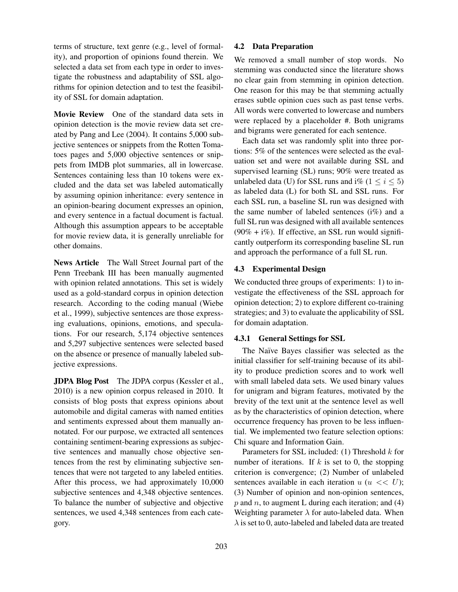terms of structure, text genre (e.g., level of formality), and proportion of opinions found therein. We selected a data set from each type in order to investigate the robustness and adaptability of SSL algorithms for opinion detection and to test the feasibility of SSL for domain adaptation.

Movie Review One of the standard data sets in opinion detection is the movie review data set created by Pang and Lee (2004). It contains 5,000 subjective sentences or snippets from the Rotten Tomatoes pages and 5,000 objective sentences or snippets from IMDB plot summaries, all in lowercase. Sentences containing less than 10 tokens were excluded and the data set was labeled automatically by assuming opinion inheritance: every sentence in an opinion-bearing document expresses an opinion, and every sentence in a factual document is factual. Although this assumption appears to be acceptable for movie review data, it is generally unreliable for other domains.

News Article The Wall Street Journal part of the Penn Treebank III has been manually augmented with opinion related annotations. This set is widely used as a gold-standard corpus in opinion detection research. According to the coding manual (Wiebe et al., 1999), subjective sentences are those expressing evaluations, opinions, emotions, and speculations. For our research, 5,174 objective sentences and 5,297 subjective sentences were selected based on the absence or presence of manually labeled subjective expressions.

JDPA Blog Post The JDPA corpus (Kessler et al., 2010) is a new opinion corpus released in 2010. It consists of blog posts that express opinions about automobile and digital cameras with named entities and sentiments expressed about them manually annotated. For our purpose, we extracted all sentences containing sentiment-bearing expressions as subjective sentences and manually chose objective sentences from the rest by eliminating subjective sentences that were not targeted to any labeled entities. After this process, we had approximately 10,000 subjective sentences and 4,348 objective sentences. To balance the number of subjective and objective sentences, we used 4,348 sentences from each category.

### 4.2 Data Preparation

We removed a small number of stop words. No stemming was conducted since the literature shows no clear gain from stemming in opinion detection. One reason for this may be that stemming actually erases subtle opinion cues such as past tense verbs. All words were converted to lowercase and numbers were replaced by a placeholder #. Both unigrams and bigrams were generated for each sentence.

Each data set was randomly split into three portions: 5% of the sentences were selected as the evaluation set and were not available during SSL and supervised learning (SL) runs; 90% were treated as unlabeled data (U) for SSL runs and i% ( $1 \le i \le 5$ ) as labeled data (L) for both SL and SSL runs. For each SSL run, a baseline SL run was designed with the same number of labeled sentences  $(i\%)$  and a full SL run was designed with all available sentences  $(90\% + i\%)$ . If effective, an SSL run would significantly outperform its corresponding baseline SL run and approach the performance of a full SL run.

# 4.3 Experimental Design

We conducted three groups of experiments: 1) to investigate the effectiveness of the SSL approach for opinion detection; 2) to explore different co-training strategies; and 3) to evaluate the applicability of SSL for domain adaptation.

# 4.3.1 General Settings for SSL

The Naïve Bayes classifier was selected as the initial classifier for self-training because of its ability to produce prediction scores and to work well with small labeled data sets. We used binary values for unigram and bigram features, motivated by the brevity of the text unit at the sentence level as well as by the characteristics of opinion detection, where occurrence frequency has proven to be less influential. We implemented two feature selection options: Chi square and Information Gain.

Parameters for SSL included:  $(1)$  Threshold  $k$  for number of iterations. If  $k$  is set to 0, the stopping criterion is convergence; (2) Number of unlabeled sentences available in each iteration  $u (u \ll U)$ ; (3) Number of opinion and non-opinion sentences,  $p$  and  $n$ , to augment L during each iteration; and (4) Weighting parameter  $\lambda$  for auto-labeled data. When  $\lambda$  is set to 0, auto-labeled and labeled data are treated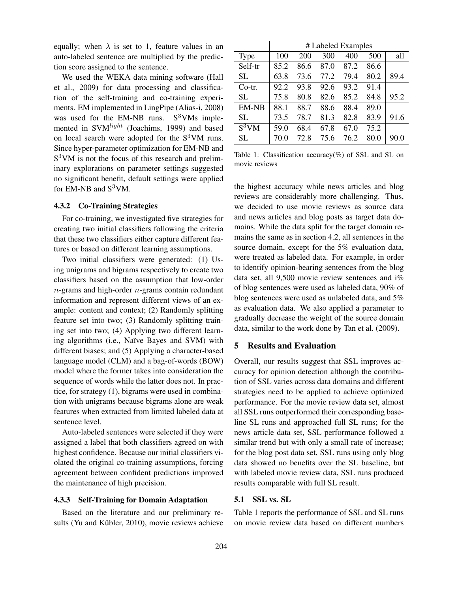equally; when  $\lambda$  is set to 1, feature values in an auto-labeled sentence are multiplied by the prediction score assigned to the sentence.

We used the WEKA data mining software (Hall et al., 2009) for data processing and classification of the self-training and co-training experiments. EM implemented in LingPipe (Alias-i, 2008) was used for the EM-NB runs.  $S<sup>3</sup>VMs$  implemented in SVM<sup>light</sup> (Joachims, 1999) and based on local search were adopted for the  $S<sup>3</sup>VM$  runs. Since hyper-parameter optimization for EM-NB and S<sup>3</sup>VM is not the focus of this research and preliminary explorations on parameter settings suggested no significant benefit, default settings were applied for EM-NB and  $S^3$ VM.

# 4.3.2 Co-Training Strategies

For co-training, we investigated five strategies for creating two initial classifiers following the criteria that these two classifiers either capture different features or based on different learning assumptions.

Two initial classifiers were generated: (1) Using unigrams and bigrams respectively to create two classifiers based on the assumption that low-order  $n$ -grams and high-order  $n$ -grams contain redundant information and represent different views of an example: content and context; (2) Randomly splitting feature set into two; (3) Randomly splitting training set into two; (4) Applying two different learning algorithms (i.e., Naïve Bayes and SVM) with different biases; and (5) Applying a character-based language model (CLM) and a bag-of-words (BOW) model where the former takes into consideration the sequence of words while the latter does not. In practice, for strategy (1), bigrams were used in combination with unigrams because bigrams alone are weak features when extracted from limited labeled data at sentence level.

Auto-labeled sentences were selected if they were assigned a label that both classifiers agreed on with highest confidence. Because our initial classifiers violated the original co-training assumptions, forcing agreement between confident predictions improved the maintenance of high precision.

### 4.3.3 Self-Training for Domain Adaptation

Based on the literature and our preliminary results (Yu and Kübler, 2010), movie reviews achieve

|                     | # Labeled Examples |      |      |      |      |      |
|---------------------|--------------------|------|------|------|------|------|
| <b>Type</b>         | 100                | 200  | 300  | 400  | 500  | all  |
| Self-tr             | 85.2               | 86.6 | 87.0 | 87.2 | 86.6 |      |
| <b>SL</b>           | 63.8               | 73.6 | 77.2 | 79.4 | 80.2 | 89.4 |
| $Co-tr.$            | 92.2               | 93.8 | 92.6 | 93.2 | 91.4 |      |
| SL                  | 75.8               | 80.8 | 82.6 | 85.2 | 84.8 | 95.2 |
| <b>EM-NB</b>        | 88.1               | 88.7 | 88.6 | 88.4 | 89.0 |      |
| SL                  | 73.5               | 78.7 | 81.3 | 82.8 | 83.9 | 91.6 |
| $\overline{S}^3$ VM | 59.0               | 68.4 | 67.8 | 67.0 | 75.2 |      |
| SL                  | 70.0               | 72.8 | 75.6 | 76.2 | 80.0 | 90.0 |

Table 1: Classification accuracy(%) of SSL and SL on movie reviews

the highest accuracy while news articles and blog reviews are considerably more challenging. Thus, we decided to use movie reviews as source data and news articles and blog posts as target data domains. While the data split for the target domain remains the same as in section 4.2, all sentences in the source domain, except for the 5% evaluation data, were treated as labeled data. For example, in order to identify opinion-bearing sentences from the blog data set, all 9,500 movie review sentences and i% of blog sentences were used as labeled data, 90% of blog sentences were used as unlabeled data, and 5% as evaluation data. We also applied a parameter to gradually decrease the weight of the source domain data, similar to the work done by Tan et al. (2009).

# 5 Results and Evaluation

Overall, our results suggest that SSL improves accuracy for opinion detection although the contribution of SSL varies across data domains and different strategies need to be applied to achieve optimized performance. For the movie review data set, almost all SSL runs outperformed their corresponding baseline SL runs and approached full SL runs; for the news article data set, SSL performance followed a similar trend but with only a small rate of increase; for the blog post data set, SSL runs using only blog data showed no benefits over the SL baseline, but with labeled movie review data, SSL runs produced results comparable with full SL result.

#### 5.1 SSL vs. SL

Table 1 reports the performance of SSL and SL runs on movie review data based on different numbers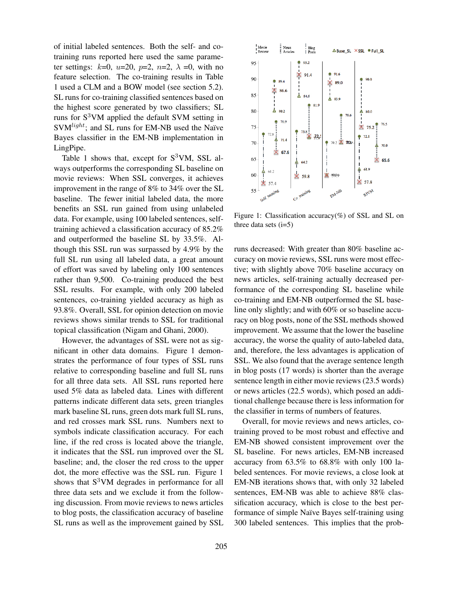of initial labeled sentences. Both the self- and cotraining runs reported here used the same parameter settings:  $k=0$ ,  $u=20$ ,  $p=2$ ,  $n=2$ ,  $\lambda =0$ , with no feature selection. The co-training results in Table 1 used a CLM and a BOW model (see section 5.2). SL runs for co-training classified sentences based on the highest score generated by two classifiers; SL runs for  $S^3$ VM applied the default SVM setting in  $SVM<sup>light</sup>$ ; and SL runs for EM-NB used the Naïve Bayes classifier in the EM-NB implementation in LingPipe.

Table 1 shows that, except for  $S^3VM$ , SSL always outperforms the corresponding SL baseline on movie reviews: When SSL converges, it achieves improvement in the range of 8% to 34% over the SL baseline. The fewer initial labeled data, the more benefits an SSL run gained from using unlabeled data. For example, using 100 labeled sentences, selftraining achieved a classification accuracy of 85.2% and outperformed the baseline SL by 33.5%. Although this SSL run was surpassed by 4.9% by the full SL run using all labeled data, a great amount of effort was saved by labeling only 100 sentences rather than 9,500. Co-training produced the best SSL results. For example, with only 200 labeled sentences, co-training yielded accuracy as high as 93.8%. Overall, SSL for opinion detection on movie reviews shows similar trends to SSL for traditional topical classification (Nigam and Ghani, 2000).

However, the advantages of SSL were not as significant in other data domains. Figure 1 demonstrates the performance of four types of SSL runs relative to corresponding baseline and full SL runs for all three data sets. All SSL runs reported here used 5% data as labeled data. Lines with different patterns indicate different data sets, green triangles mark baseline SL runs, green dots mark full SL runs, and red crosses mark SSL runs. Numbers next to symbols indicate classification accuracy. For each line, if the red cross is located above the triangle, it indicates that the SSL run improved over the SL baseline; and, the closer the red cross to the upper dot, the more effective was the SSL run. Figure 1 shows that  $S<sup>3</sup>VM$  degrades in performance for all three data sets and we exclude it from the following discussion. From movie reviews to news articles to blog posts, the classification accuracy of baseline SL runs as well as the improvement gained by SSL



Figure 1: Classification accuracy(%) of SSL and SL on three data sets  $(i=5)$ 

runs decreased: With greater than 80% baseline accuracy on movie reviews, SSL runs were most effective; with slightly above 70% baseline accuracy on news articles, self-training actually decreased performance of the corresponding SL baseline while co-training and EM-NB outperformed the SL baseline only slightly; and with 60% or so baseline accuracy on blog posts, none of the SSL methods showed improvement. We assume that the lower the baseline accuracy, the worse the quality of auto-labeled data, and, therefore, the less advantages is application of SSL. We also found that the average sentence length in blog posts (17 words) is shorter than the average sentence length in either movie reviews (23.5 words) or news articles (22.5 words), which posed an additional challenge because there is less information for the classifier in terms of numbers of features.

Overall, for movie reviews and news articles, cotraining proved to be most robust and effective and EM-NB showed consistent improvement over the SL baseline. For news articles, EM-NB increased accuracy from 63.5% to 68.8% with only 100 labeled sentences. For movie reviews, a close look at EM-NB iterations shows that, with only 32 labeled sentences, EM-NB was able to achieve 88% classification accuracy, which is close to the best performance of simple Naïve Bayes self-training using 300 labeled sentences. This implies that the prob-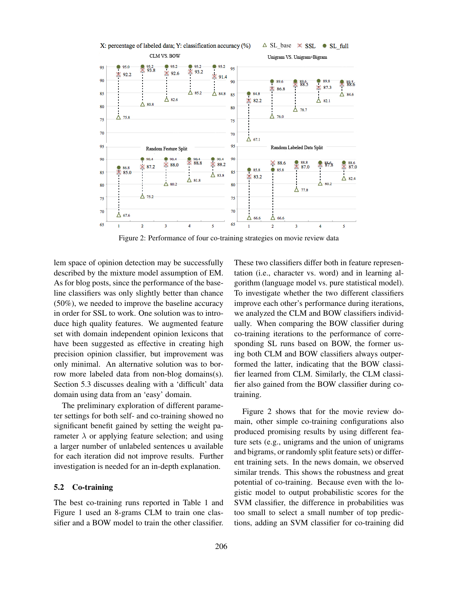

Figure 2: Performance of four co-training strategies on movie review data

lem space of opinion detection may be successfully described by the mixture model assumption of EM. As for blog posts, since the performance of the baseline classifiers was only slightly better than chance (50%), we needed to improve the baseline accuracy in order for SSL to work. One solution was to introduce high quality features. We augmented feature set with domain independent opinion lexicons that have been suggested as effective in creating high precision opinion classifier, but improvement was only minimal. An alternative solution was to borrow more labeled data from non-blog domains(s). Section 5.3 discusses dealing with a 'difficult' data domain using data from an 'easy' domain.

The preliminary exploration of different parameter settings for both self- and co-training showed no significant benefit gained by setting the weight parameter  $\lambda$  or applying feature selection; and using a larger number of unlabeled sentences u available for each iteration did not improve results. Further investigation is needed for an in-depth explanation.

#### 5.2 Co-training

The best co-training runs reported in Table 1 and Figure 1 used an 8-grams CLM to train one classifier and a BOW model to train the other classifier. These two classifiers differ both in feature representation (i.e., character vs. word) and in learning algorithm (language model vs. pure statistical model). To investigate whether the two different classifiers improve each other's performance during iterations, we analyzed the CLM and BOW classifiers individually. When comparing the BOW classifier during co-training iterations to the performance of corresponding SL runs based on BOW, the former using both CLM and BOW classifiers always outperformed the latter, indicating that the BOW classifier learned from CLM. Similarly, the CLM classifier also gained from the BOW classifier during cotraining.

Figure 2 shows that for the movie review domain, other simple co-training configurations also produced promising results by using different feature sets (e.g., unigrams and the union of unigrams and bigrams, or randomly split feature sets) or different training sets. In the news domain, we observed similar trends. This shows the robustness and great potential of co-training. Because even with the logistic model to output probabilistic scores for the SVM classifier, the difference in probabilities was too small to select a small number of top predictions, adding an SVM classifier for co-training did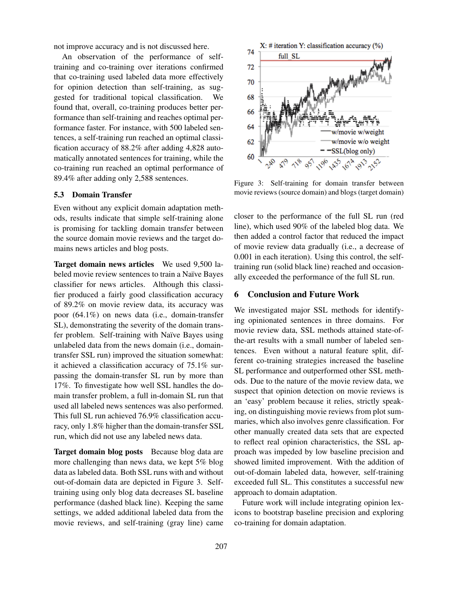not improve accuracy and is not discussed here.

An observation of the performance of selftraining and co-training over iterations confirmed that co-training used labeled data more effectively for opinion detection than self-training, as suggested for traditional topical classification. We found that, overall, co-training produces better performance than self-training and reaches optimal performance faster. For instance, with 500 labeled sentences, a self-training run reached an optimal classification accuracy of 88.2% after adding 4,828 automatically annotated sentences for training, while the co-training run reached an optimal performance of 89.4% after adding only 2,588 sentences.

#### 5.3 Domain Transfer

Even without any explicit domain adaptation methods, results indicate that simple self-training alone is promising for tackling domain transfer between the source domain movie reviews and the target domains news articles and blog posts.

Target domain news articles We used 9,500 labeled movie review sentences to train a Naïve Bayes classifier for news articles. Although this classifier produced a fairly good classification accuracy of 89.2% on movie review data, its accuracy was poor (64.1%) on news data (i.e., domain-transfer SL), demonstrating the severity of the domain transfer problem. Self-training with Naïve Bayes using unlabeled data from the news domain (i.e., domaintransfer SSL run) improved the situation somewhat: it achieved a classification accuracy of 75.1% surpassing the domain-transfer SL run by more than 17%. To finvestigate how well SSL handles the domain transfer problem, a full in-domain SL run that used all labeled news sentences was also performed. This full SL run achieved 76.9% classification accuracy, only 1.8% higher than the domain-transfer SSL run, which did not use any labeled news data.

Target domain blog posts Because blog data are more challenging than news data, we kept 5% blog data as labeled data. Both SSL runs with and without out-of-domain data are depicted in Figure 3. Selftraining using only blog data decreases SL baseline performance (dashed black line). Keeping the same settings, we added additional labeled data from the movie reviews, and self-training (gray line) came



Figure 3: Self-training for domain transfer between movie reviews (source domain) and blogs (target domain)

closer to the performance of the full SL run (red line), which used 90% of the labeled blog data. We then added a control factor that reduced the impact of movie review data gradually (i.e., a decrease of 0.001 in each iteration). Using this control, the selftraining run (solid black line) reached and occasionally exceeded the performance of the full SL run.

#### 6 Conclusion and Future Work

We investigated major SSL methods for identifying opinionated sentences in three domains. For movie review data, SSL methods attained state-ofthe-art results with a small number of labeled sentences. Even without a natural feature split, different co-training strategies increased the baseline SL performance and outperformed other SSL methods. Due to the nature of the movie review data, we suspect that opinion detection on movie reviews is an 'easy' problem because it relies, strictly speaking, on distinguishing movie reviews from plot summaries, which also involves genre classification. For other manually created data sets that are expected to reflect real opinion characteristics, the SSL approach was impeded by low baseline precision and showed limited improvement. With the addition of out-of-domain labeled data, however, self-training exceeded full SL. This constitutes a successful new approach to domain adaptation.

Future work will include integrating opinion lexicons to bootstrap baseline precision and exploring co-training for domain adaptation.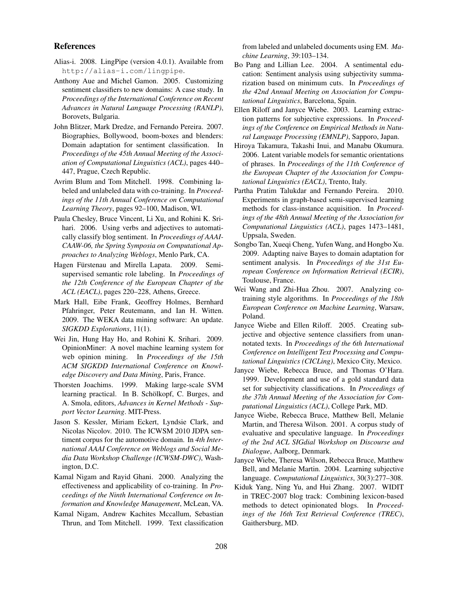### References

- Alias-i. 2008. LingPipe (version 4.0.1). Available from http://alias-i.com/lingpipe.
- Anthony Aue and Michel Gamon. 2005. Customizing sentiment classifiers to new domains: A case study. In *Proceedings of the International Conference on Recent Advances in Natural Language Processing (RANLP)*, Borovets, Bulgaria.
- John Blitzer, Mark Dredze, and Fernando Pereira. 2007. Biographies, Bollywood, boom-boxes and blenders: Domain adaptation for sentiment classification. In *Proceedings of the 45th Annual Meeting of the Association of Computational Linguistics (ACL)*, pages 440– 447, Prague, Czech Republic.
- Avrim Blum and Tom Mitchell. 1998. Combining labeled and unlabeled data with co-training. In *Proceedings of the 11th Annual Conference on Computational Learning Theory*, pages 92–100, Madison, WI.
- Paula Chesley, Bruce Vincent, Li Xu, and Rohini K. Srihari. 2006. Using verbs and adjectives to automatically classify blog sentiment. In *Proceedings of AAAI-CAAW-06, the Spring Symposia on Computational Approaches to Analyzing Weblogs*, Menlo Park, CA.
- Hagen Fürstenau and Mirella Lapata. 2009. Semisupervised semantic role labeling. In *Proceedings of the 12th Conference of the European Chapter of the ACL (EACL)*, pages 220–228, Athens, Greece.
- Mark Hall, Eibe Frank, Geoffrey Holmes, Bernhard Pfahringer, Peter Reutemann, and Ian H. Witten. 2009. The WEKA data mining software: An update. *SIGKDD Explorations*, 11(1).
- Wei Jin, Hung Hay Ho, and Rohini K. Srihari. 2009. OpinionMiner: A novel machine learning system for web opinion mining. In *Proceedings of the 15th ACM SIGKDD International Conference on Knowledge Discovery and Data Mining*, Paris, France.
- Thorsten Joachims. 1999. Making large-scale SVM learning practical. In B. Schölkopf, C. Burges, and A. Smola, editors, *Advances in Kernel Methods - Support Vector Learning*. MIT-Press.
- Jason S. Kessler, Miriam Eckert, Lyndsie Clark, and Nicolas Nicolov. 2010. The ICWSM 2010 JDPA sentiment corpus for the automotive domain. In *4th International AAAI Conference on Weblogs and Social Media Data Workshop Challenge (ICWSM-DWC)*, Washington, D.C.
- Kamal Nigam and Rayid Ghani. 2000. Analyzing the effectiveness and applicability of co-training. In *Proceedings of the Ninth International Conference on Information and Knowledge Management*, McLean, VA.
- Kamal Nigam, Andrew Kachites Mccallum, Sebastian Thrun, and Tom Mitchell. 1999. Text classification

from labeled and unlabeled documents using EM. *Machine Learning*, 39:103–134.

- Bo Pang and Lillian Lee. 2004. A sentimental education: Sentiment analysis using subjectivity summarization based on minimum cuts. In *Proceedings of the 42nd Annual Meeting on Association for Computational Linguistics*, Barcelona, Spain.
- Ellen Riloff and Janyce Wiebe. 2003. Learning extraction patterns for subjective expressions. In *Proceedings of the Conference on Empirical Methods in Natural Language Processing (EMNLP)*, Sapporo, Japan.
- Hiroya Takamura, Takashi Inui, and Manabu Okumura. 2006. Latent variable models for semantic orientations of phrases. In *Proceedings of the 11th Conference of the European Chapter of the Association for Computational Linguistics (EACL)*, Trento, Italy.
- Partha Pratim Talukdar and Fernando Pereira. 2010. Experiments in graph-based semi-supervised learning methods for class-instance acquisition. In *Proceedings of the 48th Annual Meeting of the Association for Computational Linguistics (ACL)*, pages 1473–1481, Uppsala, Sweden.
- Songbo Tan, Xueqi Cheng, Yufen Wang, and Hongbo Xu. 2009. Adapting naive Bayes to domain adaptation for sentiment analysis. In *Proceedings of the 31st European Conference on Information Retrieval (ECIR)*, Toulouse, France.
- Wei Wang and Zhi-Hua Zhou. 2007. Analyzing cotraining style algorithms. In *Proceedings of the 18th European Conference on Machine Learning*, Warsaw, Poland.
- Janyce Wiebe and Ellen Riloff. 2005. Creating subjective and objective sentence classifiers from unannotated texts. In *Proceedings of the 6th International Conference on Intelligent Text Processing and Computational Linguistics (CICLing)*, Mexico City, Mexico.
- Janyce Wiebe, Rebecca Bruce, and Thomas O'Hara. 1999. Development and use of a gold standard data set for subjectivity classifications. In *Proceedings of the 37th Annual Meeting of the Association for Computational Linguistics (ACL)*, College Park, MD.
- Janyce Wiebe, Rebecca Bruce, Matthew Bell, Melanie Martin, and Theresa Wilson. 2001. A corpus study of evaluative and speculative language. In *Proceedings of the 2nd ACL SIGdial Workshop on Discourse and Dialogue*, Aalborg, Denmark.
- Janyce Wiebe, Theresa Wilson, Rebecca Bruce, Matthew Bell, and Melanie Martin. 2004. Learning subjective language. *Computational Linguistics*, 30(3):277–308.
- Kiduk Yang, Ning Yu, and Hui Zhang. 2007. WIDIT in TREC-2007 blog track: Combining lexicon-based methods to detect opinionated blogs. In *Proceedings of the 16th Text Retrieval Conference (TREC)*, Gaithersburg, MD.